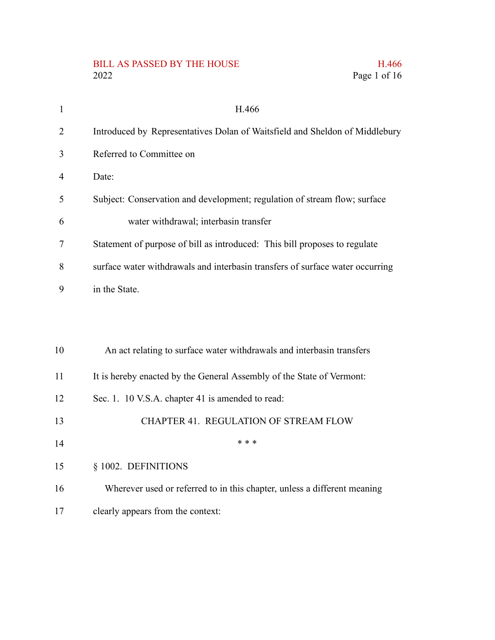# BILL AS PASSED BY THE HOUSE H.466<br>2022 Page 1 of 16

| $\mathbf{1}$   | H.466                                                                         |
|----------------|-------------------------------------------------------------------------------|
| $\overline{2}$ | Introduced by Representatives Dolan of Waitsfield and Sheldon of Middlebury   |
| 3              | Referred to Committee on                                                      |
| $\overline{4}$ | Date:                                                                         |
| 5              | Subject: Conservation and development; regulation of stream flow; surface     |
| 6              | water withdrawal; interbasin transfer                                         |
| 7              | Statement of purpose of bill as introduced: This bill proposes to regulate    |
| 8              | surface water withdrawals and interbasin transfers of surface water occurring |
| 9              | in the State.                                                                 |
|                |                                                                               |
|                |                                                                               |
| 10             | An act relating to surface water withdrawals and interbasin transfers         |
| 11             | It is hereby enacted by the General Assembly of the State of Vermont:         |
| 12             | Sec. 1. 10 V.S.A. chapter 41 is amended to read:                              |
| 13             | CHAPTER 41. REGULATION OF STREAM FLOW                                         |
| 14             | * * *                                                                         |
| 15             | § 1002. DEFINITIONS                                                           |
| 16             | Wherever used or referred to in this chapter, unless a different meaning      |
|                |                                                                               |

Page 1 of 16

clearly appears from the context: 17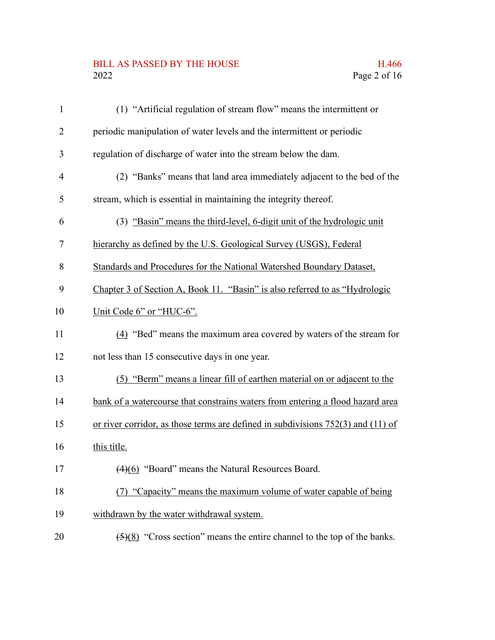#### BILL AS PASSED BY THE HOUSE H.466 2022 Page 2 of 16

| $\mathbf{1}$ | (1) "Artificial regulation of stream flow" means the intermittent or                         |
|--------------|----------------------------------------------------------------------------------------------|
| 2            | periodic manipulation of water levels and the intermittent or periodic                       |
| 3            | regulation of discharge of water into the stream below the dam.                              |
| 4            | (2) "Banks" means that land area immediately adjacent to the bed of the                      |
| 5            | stream, which is essential in maintaining the integrity thereof.                             |
| 6            | (3) "Basin" means the third-level, 6-digit unit of the hydrologic unit                       |
| 7            | hierarchy as defined by the U.S. Geological Survey (USGS), Federal                           |
| 8            | Standards and Procedures for the National Watershed Boundary Dataset,                        |
| 9            | Chapter 3 of Section A, Book 11. "Basin" is also referred to as "Hydrologic                  |
| 10           | Unit Code 6" or "HUC-6".                                                                     |
| 11           | (4) "Bed" means the maximum area covered by waters of the stream for                         |
| 12           | not less than 15 consecutive days in one year.                                               |
| 13           | (5) "Berm" means a linear fill of earthen material on or adjacent to the                     |
| 14           | bank of a watercourse that constrains waters from entering a flood hazard area               |
| 15           | or river corridor, as those terms are defined in subdivisions $752(3)$ and $(11)$ of         |
| 16           | this title.                                                                                  |
| 17           | $(4)(6)$ "Board" means the Natural Resources Board.                                          |
| 18           | (7) "Capacity" means the maximum volume of water capable of being                            |
| 19           | withdrawn by the water withdrawal system.                                                    |
| 20           | $\left(\frac{5}{8}\right)$ "Cross section" means the entire channel to the top of the banks. |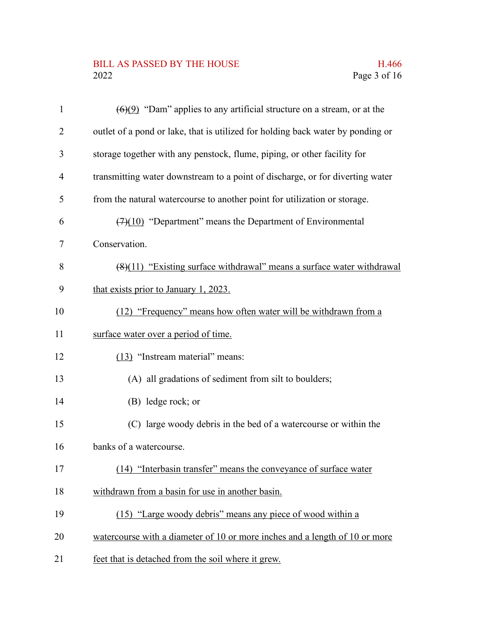## BILL AS PASSED BY THE HOUSE H.466<br>2022 Page 3 of 16

| $\mathbf{1}$   | $(6)(9)$ "Dam" applies to any artificial structure on a stream, or at the       |
|----------------|---------------------------------------------------------------------------------|
| $\overline{2}$ | outlet of a pond or lake, that is utilized for holding back water by ponding or |
| 3              | storage together with any penstock, flume, piping, or other facility for        |
| $\overline{4}$ | transmitting water downstream to a point of discharge, or for diverting water   |
| 5              | from the natural watercourse to another point for utilization or storage.       |
| 6              | $(7)(10)$ "Department" means the Department of Environmental                    |
| 7              | Conservation.                                                                   |
| 8              | $(8)(11)$ "Existing surface withdrawal" means a surface water withdrawal        |
| 9              | that exists prior to January 1, 2023.                                           |
| 10             | (12) "Frequency" means how often water will be withdrawn from a                 |
| 11             | surface water over a period of time.                                            |
| 12             | (13) "Instream material" means:                                                 |
| 13             | (A) all gradations of sediment from silt to boulders;                           |
| 14             | (B) ledge rock; or                                                              |
| 15             | (C) large woody debris in the bed of a watercourse or within the                |
| 16             | banks of a watercourse.                                                         |
| 17             | (14) "Interbasin transfer" means the conveyance of surface water                |
| 18             | withdrawn from a basin for use in another basin.                                |
| 19             | (15) "Large woody debris" means any piece of wood within a                      |
| 20             | watercourse with a diameter of 10 or more inches and a length of 10 or more     |
| 21             | feet that is detached from the soil where it grew.                              |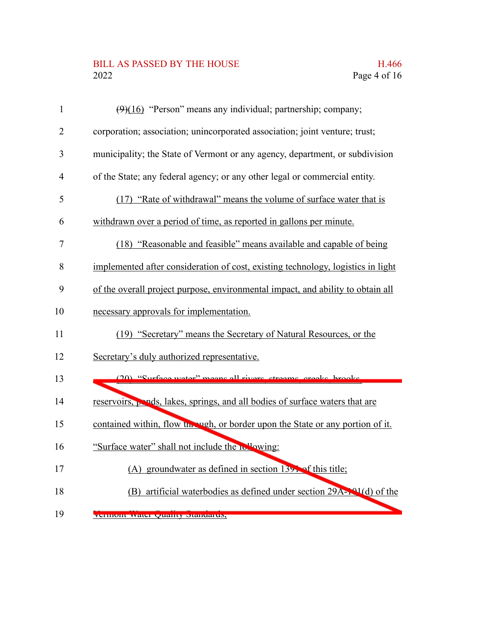## BILL AS PASSED BY THE HOUSE H.466<br>2022 Page 4 of 16

| $\mathbf{1}$   | $(9)(16)$ "Person" means any individual; partnership; company;                   |
|----------------|----------------------------------------------------------------------------------|
| $\overline{2}$ | corporation; association; unincorporated association; joint venture; trust;      |
| 3              | municipality; the State of Vermont or any agency, department, or subdivision     |
| $\overline{4}$ | of the State; any federal agency; or any other legal or commercial entity.       |
| 5              | (17) "Rate of withdrawal" means the volume of surface water that is              |
| 6              | withdrawn over a period of time, as reported in gallons per minute.              |
| 7              | (18) "Reasonable and feasible" means available and capable of being              |
| 8              | implemented after consideration of cost, existing technology, logistics in light |
| 9              | of the overall project purpose, environmental impact, and ability to obtain all  |
| 10             | necessary approvals for implementation.                                          |
| 11             | (19) "Secretary" means the Secretary of Natural Resources, or the                |
| 12             | Secretary's duly authorized representative.                                      |
| 13             | (20) "Surface water" means all rivers streams creeks brooks                      |
| 14             | reservoirs, pends, lakes, springs, and all bodies of surface waters that are     |
| 15             | contained within, flow the vigh, or border upon the State or any portion of it.  |
| 16             | "Surface water" shall not include the rellowing:                                 |
| 17             | (A) groundwater as defined in section $139$ . of this title;                     |
| 18             | (B) artificial waterbodies as defined under section 29A-101(d) of the            |
| 19             | VUHIIUIII WALU QUAHUY DIAHUAHUN,                                                 |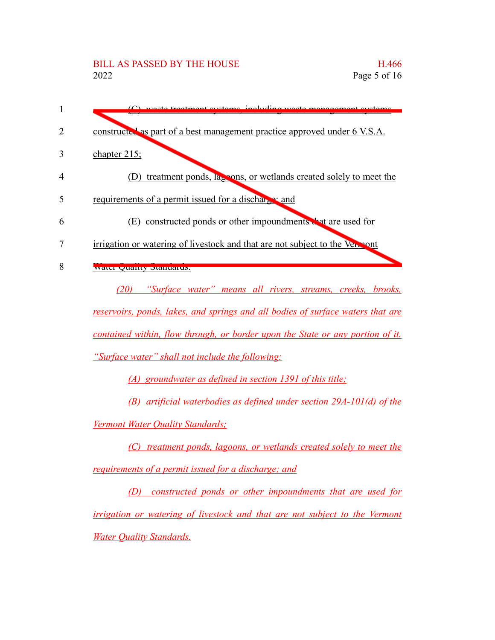| $(C)$ weste treatment systems including weste manage                            |
|---------------------------------------------------------------------------------|
| constructed as part of a best management practice approved under 6 V.S.A.       |
| chapter $215$ ;                                                                 |
| (D) treatment ponds, lagons, or wetlands created solely to meet the             |
| requirements of a permit issued for a discharge and                             |
| (E) constructed ponds or other impoundments that are used for                   |
| irrigation or watering of livestock and that are not subject to the Vencont     |
| water Quanty Standards.                                                         |
| (20) "Surface water" means all rivers, streams, creeks, brooks,                 |
| reservoirs, ponds, lakes, and springs and all bodies of surface waters that are |
| contained within, flow through, or border upon the State or any portion of it.  |
| "Surface water" shall not include the following:                                |
| (A) groundwater as defined in section 1391 of this title;                       |
| (B) artificial waterbodies as defined under section 29A-101(d) of the           |
| Vermont Water Quality Standards;                                                |
| treatment ponds, lagoons, or wetlands created solely to meet the                |
| requirements of a permit issued for a discharge; and                            |
| constructed ponds or other impoundments that are used for<br>(D)                |
| irrigation or watering of livestock and that are not subject to the Vermont     |
| <b>Water Quality Standards.</b>                                                 |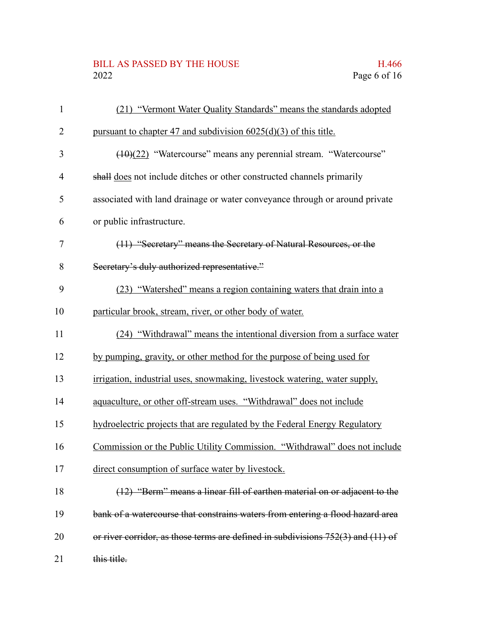#### BILL AS PASSED BY THE HOUSE H.466<br>2022 Page 6 of 16

| $\mathbf{1}$   | (21) "Vermont Water Quality Standards" means the standards adopted                   |
|----------------|--------------------------------------------------------------------------------------|
| $\overline{2}$ | pursuant to chapter 47 and subdivision $6025(d)(3)$ of this title.                   |
| 3              | $(10)(22)$ "Watercourse" means any perennial stream. "Watercourse"                   |
| $\overline{4}$ | shall does not include ditches or other constructed channels primarily               |
| 5              | associated with land drainage or water conveyance through or around private          |
| 6              | or public infrastructure.                                                            |
| 7              | (11) "Secretary" means the Secretary of Natural Resources, or the                    |
| 8              | Secretary's duly authorized representative."                                         |
| 9              | (23) "Watershed" means a region containing waters that drain into a                  |
| 10             | particular brook, stream, river, or other body of water.                             |
| 11             | (24) "Withdrawal" means the intentional diversion from a surface water               |
| 12             | by pumping, gravity, or other method for the purpose of being used for               |
| 13             | irrigation, industrial uses, snowmaking, livestock watering, water supply,           |
| 14             | aquaculture, or other off-stream uses. "Withdrawal" does not include                 |
| 15             | hydroelectric projects that are regulated by the Federal Energy Regulatory           |
| 16             | Commission or the Public Utility Commission. "Withdrawal" does not include           |
| 17             | direct consumption of surface water by livestock.                                    |
| 18             | (12) "Berm" means a linear fill of earthen material on or adjacent to the            |
| 19             | bank of a watercourse that constrains waters from entering a flood hazard area       |
| 20             | or river corridor, as those terms are defined in subdivisions $752(3)$ and $(11)$ of |
| 21             | this title.                                                                          |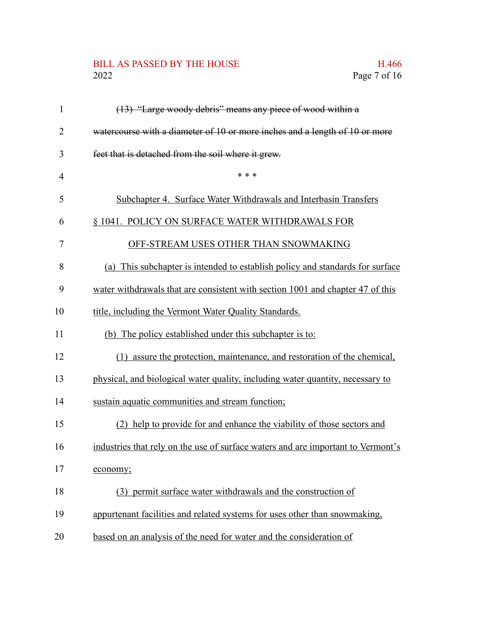## BILL AS PASSED BY THE HOUSE H.466<br>2022 Page 7 of 16

| 1              | (13) "Large woody debris" means any piece of wood within a                       |
|----------------|----------------------------------------------------------------------------------|
| $\overline{2}$ | watercourse with a diameter of 10 or more inches and a length of 10 or more      |
| 3              | feet that is detached from the soil where it grew.                               |
| $\overline{4}$ | * * *                                                                            |
| 5              | Subchapter 4. Surface Water Withdrawals and Interbasin Transfers                 |
| 6              | § 1041. POLICY ON SURFACE WATER WITHDRAWALS FOR                                  |
| 7              | OFF-STREAM USES OTHER THAN SNOWMAKING                                            |
| 8              | (a) This subchapter is intended to establish policy and standards for surface    |
| 9              | water withdrawals that are consistent with section 1001 and chapter 47 of this   |
| 10             | title, including the Vermont Water Quality Standards.                            |
| 11             | (b) The policy established under this subchapter is to:                          |
| 12             | (1) assure the protection, maintenance, and restoration of the chemical,         |
| 13             | physical, and biological water quality, including water quantity, necessary to   |
| 14             | sustain aquatic communities and stream function;                                 |
| 15             | (2) help to provide for and enhance the viability of those sectors and           |
| 16             | industries that rely on the use of surface waters and are important to Vermont's |
| 17             | economy;                                                                         |
| 18             | (3) permit surface water withdrawals and the construction of                     |
| 19             | appurtenant facilities and related systems for uses other than snowmaking,       |
| 20             | based on an analysis of the need for water and the consideration of              |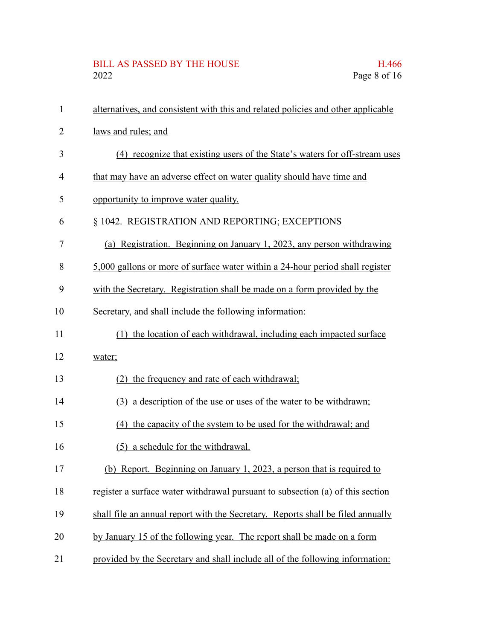# BILL AS PASSED BY THE HOUSE H.466<br>2022 Page 8 of 16

| $\mathbf{1}$ | alternatives, and consistent with this and related policies and other applicable |
|--------------|----------------------------------------------------------------------------------|
| 2            | laws and rules; and                                                              |
| 3            | (4) recognize that existing users of the State's waters for off-stream uses      |
| 4            | that may have an adverse effect on water quality should have time and            |
| 5            | opportunity to improve water quality.                                            |
| 6            | § 1042. REGISTRATION AND REPORTING; EXCEPTIONS                                   |
| 7            | (a) Registration. Beginning on January 1, 2023, any person withdrawing           |
| 8            | 5,000 gallons or more of surface water within a 24-hour period shall register    |
| 9            | with the Secretary. Registration shall be made on a form provided by the         |
| 10           | Secretary, and shall include the following information:                          |
| 11           | (1) the location of each withdrawal, including each impacted surface             |
| 12           | water;                                                                           |
| 13           | (2) the frequency and rate of each withdrawal;                                   |
| 14           | (3) a description of the use or uses of the water to be withdrawn;               |
| 15           | (4) the capacity of the system to be used for the withdrawal; and                |
| 16           | (5) a schedule for the withdrawal.                                               |
| 17           | (b) Report. Beginning on January 1, 2023, a person that is required to           |
| 18           | register a surface water withdrawal pursuant to subsection (a) of this section   |
| 19           | shall file an annual report with the Secretary. Reports shall be filed annually  |
| 20           | by January 15 of the following year. The report shall be made on a form          |
| 21           | provided by the Secretary and shall include all of the following information:    |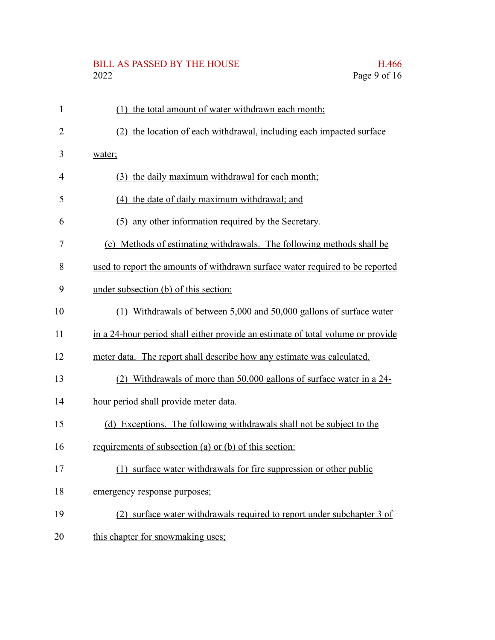# BILL AS PASSED BY THE HOUSE H.466<br>2022 Page 9 of 16

| $\mathbf{1}$ | the total amount of water withdrawn each month;<br>(1)                          |
|--------------|---------------------------------------------------------------------------------|
| 2            | the location of each withdrawal, including each impacted surface<br>(2)         |
| 3            | water;                                                                          |
| 4            | (3) the daily maximum withdrawal for each month;                                |
| 5            | (4) the date of daily maximum withdrawal; and                                   |
| 6            | (5) any other information required by the Secretary.                            |
| 7            | (c) Methods of estimating withdrawals. The following methods shall be           |
| 8            | used to report the amounts of withdrawn surface water required to be reported   |
| 9            | under subsection (b) of this section:                                           |
| 10           | (1) Withdrawals of between 5,000 and 50,000 gallons of surface water            |
| 11           | in a 24-hour period shall either provide an estimate of total volume or provide |
| 12           | meter data. The report shall describe how any estimate was calculated.          |
| 13           | (2) Withdrawals of more than 50,000 gallons of surface water in a 24-           |
| 14           | hour period shall provide meter data.                                           |
| 15           | (d) Exceptions. The following withdrawals shall not be subject to the           |
| 16           | requirements of subsection (a) or (b) of this section:                          |
| 17           | surface water withdrawals for fire suppression or other public<br>(1)           |
| 18           | emergency response purposes;                                                    |
| 19           | (2) surface water withdrawals required to report under subchapter 3 of          |
| 20           | this chapter for snowmaking uses;                                               |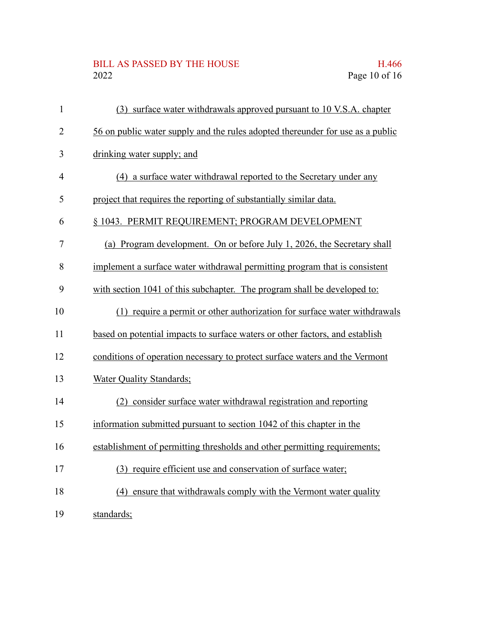## BILL AS PASSED BY THE HOUSE H.466<br>2022 Page 10 of 16

| $\mathbf{1}$   | (3) surface water withdrawals approved pursuant to 10 V.S.A. chapter           |
|----------------|--------------------------------------------------------------------------------|
| $\overline{2}$ | 56 on public water supply and the rules adopted thereunder for use as a public |
| 3              | drinking water supply; and                                                     |
| $\overline{4}$ | (4) a surface water withdrawal reported to the Secretary under any             |
| 5              | project that requires the reporting of substantially similar data.             |
| 6              | § 1043. PERMIT REQUIREMENT; PROGRAM DEVELOPMENT                                |
| 7              | (a) Program development. On or before July 1, 2026, the Secretary shall        |
| 8              | implement a surface water withdrawal permitting program that is consistent     |
| 9              | with section 1041 of this subchapter. The program shall be developed to:       |
| 10             | (1) require a permit or other authorization for surface water withdrawals      |
| 11             | based on potential impacts to surface waters or other factors, and establish   |
| 12             | conditions of operation necessary to protect surface waters and the Vermont    |
| 13             | Water Quality Standards;                                                       |
| 14             | (2) consider surface water withdrawal registration and reporting               |
| 15             | information submitted pursuant to section 1042 of this chapter in the          |
| 16             | establishment of permitting thresholds and other permitting requirements;      |
| 17             | (3) require efficient use and conservation of surface water;                   |
| 18             | (4) ensure that withdrawals comply with the Vermont water quality              |
| 19             | standards;                                                                     |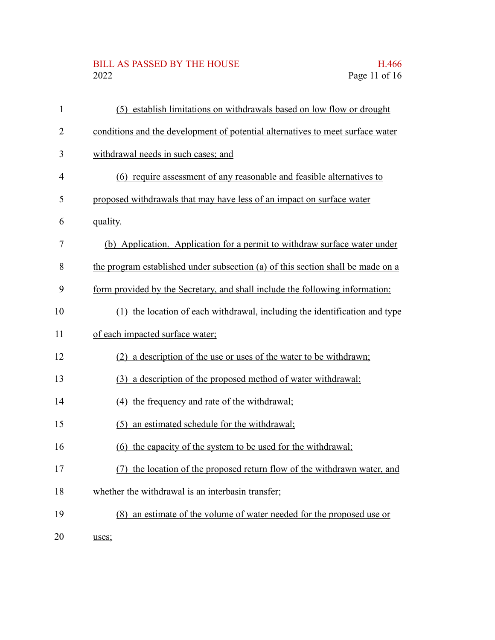## BILL AS PASSED BY THE HOUSE H.466<br>2022 Page 11 of 16

| $\mathbf{1}$   | (5) establish limitations on withdrawals based on low flow or drought           |
|----------------|---------------------------------------------------------------------------------|
| $\overline{2}$ | conditions and the development of potential alternatives to meet surface water  |
| 3              | withdrawal needs in such cases; and                                             |
| $\overline{4}$ | (6) require assessment of any reasonable and feasible alternatives to           |
| 5              | proposed withdrawals that may have less of an impact on surface water           |
| 6              | quality.                                                                        |
| 7              | (b) Application. Application for a permit to withdraw surface water under       |
| 8              | the program established under subsection (a) of this section shall be made on a |
| 9              | form provided by the Secretary, and shall include the following information:    |
| 10             | (1) the location of each withdrawal, including the identification and type      |
| 11             | of each impacted surface water;                                                 |
| 12             | (2) a description of the use or uses of the water to be withdrawn;              |
| 13             | (3) a description of the proposed method of water withdrawal;                   |
| 14             | (4) the frequency and rate of the withdrawal;                                   |
| 15             | an estimated schedule for the withdrawal;<br>(5)                                |
| 16             | (6) the capacity of the system to be used for the withdrawal;                   |
| 17             | (7) the location of the proposed return flow of the withdrawn water, and        |
| 18             | whether the withdrawal is an interbasin transfer;                               |
| 19             | (8) an estimate of the volume of water needed for the proposed use or           |
| 20             | uses;                                                                           |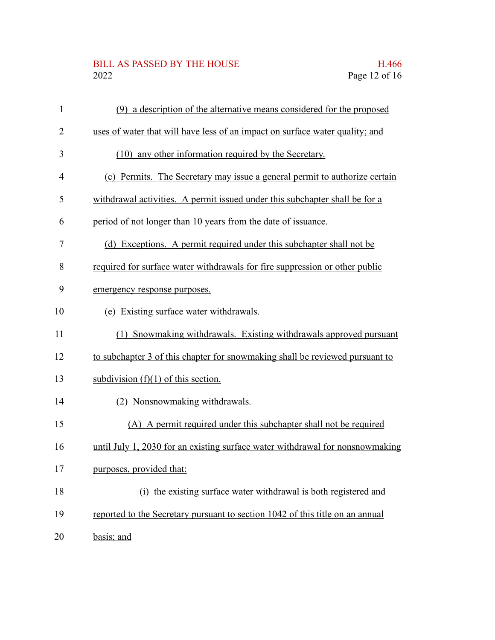## BILL AS PASSED BY THE HOUSE H.466<br>2022 Page 12 of 16

| $\mathbf{1}$   | (9) a description of the alternative means considered for the proposed        |
|----------------|-------------------------------------------------------------------------------|
| $\overline{2}$ | uses of water that will have less of an impact on surface water quality; and  |
| 3              | (10) any other information required by the Secretary.                         |
| 4              | (c) Permits. The Secretary may issue a general permit to authorize certain    |
| 5              | withdrawal activities. A permit issued under this subchapter shall be for a   |
| 6              | period of not longer than 10 years from the date of issuance.                 |
| 7              | (d) Exceptions. A permit required under this subchapter shall not be          |
| 8              | required for surface water withdrawals for fire suppression or other public   |
| 9              | emergency response purposes.                                                  |
| 10             | (e) Existing surface water withdrawals.                                       |
| 11             | (1) Snowmaking withdrawals. Existing withdrawals approved pursuant            |
| 12             | to subchapter 3 of this chapter for snowmaking shall be reviewed pursuant to  |
| 13             | subdivision $(f)(1)$ of this section.                                         |
| 14             | (2) Nonsnowmaking withdrawals.                                                |
| 15             | (A) A permit required under this subchapter shall not be required             |
| 16             | until July 1, 2030 for an existing surface water withdrawal for nonsnowmaking |
| 17             | purposes, provided that:                                                      |
| 18             | (i) the existing surface water withdrawal is both registered and              |
| 19             | reported to the Secretary pursuant to section 1042 of this title on an annual |
| 20             | basis; and                                                                    |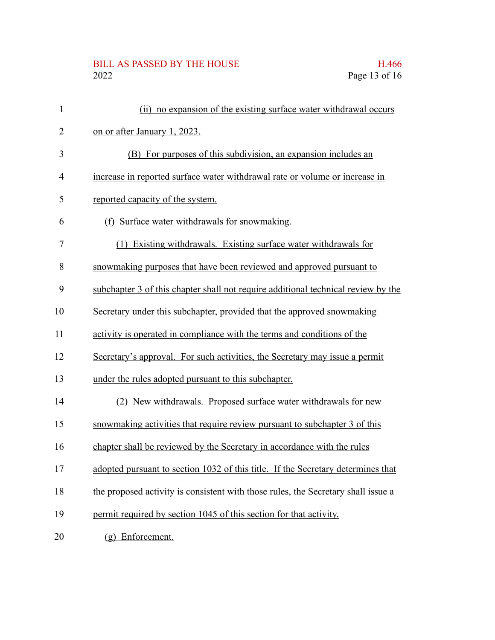## BILL AS PASSED BY THE HOUSE H.466<br>2022 Page 13 of 16

| $\mathbf{1}$   | (ii) no expansion of the existing surface water withdrawal occurs                 |
|----------------|-----------------------------------------------------------------------------------|
| $\overline{2}$ | on or after January 1, 2023.                                                      |
| 3              | (B) For purposes of this subdivision, an expansion includes an                    |
| $\overline{4}$ | increase in reported surface water withdrawal rate or volume or increase in       |
| 5              | reported capacity of the system.                                                  |
| 6              | (f) Surface water withdrawals for snowmaking.                                     |
| 7              | (1) Existing withdrawals. Existing surface water withdrawals for                  |
| 8              | snowmaking purposes that have been reviewed and approved pursuant to              |
| 9              | subchapter 3 of this chapter shall not require additional technical review by the |
| 10             | Secretary under this subchapter, provided that the approved snowmaking            |
| 11             | activity is operated in compliance with the terms and conditions of the           |
| 12             | Secretary's approval. For such activities, the Secretary may issue a permit       |
| 13             | under the rules adopted pursuant to this subchapter.                              |
| 14             | (2) New withdrawals. Proposed surface water withdrawals for new                   |
| 15             | snowmaking activities that require review pursuant to subchapter 3 of this        |
| 16             | chapter shall be reviewed by the Secretary in accordance with the rules           |
| 17             | adopted pursuant to section 1032 of this title. If the Secretary determines that  |
| 18             | the proposed activity is consistent with those rules, the Secretary shall issue a |
| 19             | permit required by section 1045 of this section for that activity.                |
| 20             | (g) Enforcement.                                                                  |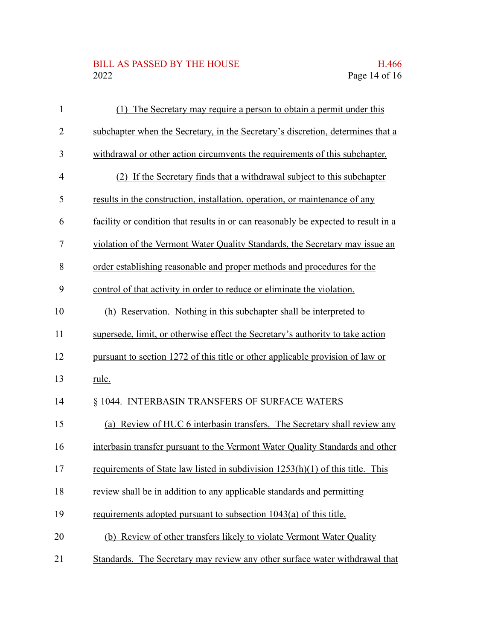## BILL AS PASSED BY THE HOUSE H.466<br>2022 Page 14 of 16

| $\mathbf{1}$   | (1) The Secretary may require a person to obtain a permit under this               |
|----------------|------------------------------------------------------------------------------------|
| $\overline{2}$ | subchapter when the Secretary, in the Secretary's discretion, determines that a    |
| 3              | withdrawal or other action circumvents the requirements of this subchapter.        |
| $\overline{4}$ | (2) If the Secretary finds that a withdrawal subject to this subchapter            |
| 5              | results in the construction, installation, operation, or maintenance of any        |
| 6              | facility or condition that results in or can reasonably be expected to result in a |
| 7              | violation of the Vermont Water Quality Standards, the Secretary may issue an       |
| 8              | order establishing reasonable and proper methods and procedures for the            |
| 9              | control of that activity in order to reduce or eliminate the violation.            |
| 10             | (h) Reservation. Nothing in this subchapter shall be interpreted to                |
| 11             | supersede, limit, or otherwise effect the Secretary's authority to take action     |
| 12             | pursuant to section 1272 of this title or other applicable provision of law or     |
| 13             | rule.                                                                              |
| 14             | § 1044. INTERBASIN TRANSFERS OF SURFACE WATERS                                     |
| 15             | (a) Review of HUC 6 interbasin transfers. The Secretary shall review any           |
| 16             | interbasin transfer pursuant to the Vermont Water Quality Standards and other      |
| 17             | requirements of State law listed in subdivision 1253(h)(1) of this title. This     |
| 18             | review shall be in addition to any applicable standards and permitting             |
| 19             | requirements adopted pursuant to subsection 1043(a) of this title.                 |
| 20             | (b) Review of other transfers likely to violate Vermont Water Quality              |
| 21             | Standards. The Secretary may review any other surface water withdrawal that        |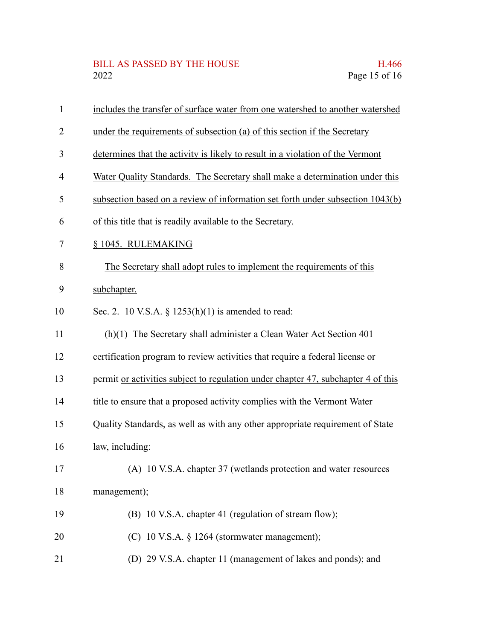## BILL AS PASSED BY THE HOUSE H.466<br>2022 Page 15 of 16

| $\mathbf{1}$   | includes the transfer of surface water from one watershed to another watershed    |
|----------------|-----------------------------------------------------------------------------------|
| $\overline{2}$ | under the requirements of subsection (a) of this section if the Secretary         |
| 3              | determines that the activity is likely to result in a violation of the Vermont    |
| $\overline{4}$ | Water Quality Standards. The Secretary shall make a determination under this      |
| 5              | subsection based on a review of information set forth under subsection 1043(b)    |
| 6              | of this title that is readily available to the Secretary.                         |
| 7              | § 1045. RULEMAKING                                                                |
| 8              | The Secretary shall adopt rules to implement the requirements of this             |
| 9              | subchapter.                                                                       |
| 10             | Sec. 2. 10 V.S.A. § $1253(h)(1)$ is amended to read:                              |
| 11             | (h)(1) The Secretary shall administer a Clean Water Act Section 401               |
| 12             | certification program to review activities that require a federal license or      |
| 13             | permit or activities subject to regulation under chapter 47, subchapter 4 of this |
| 14             | title to ensure that a proposed activity complies with the Vermont Water          |
| 15             | Quality Standards, as well as with any other appropriate requirement of State     |
| 16             | law, including:                                                                   |
| 17             | (A) 10 V.S.A. chapter 37 (wetlands protection and water resources                 |
| 18             | management);                                                                      |
| 19             | (B) 10 V.S.A. chapter 41 (regulation of stream flow);                             |
| 20             | (C) 10 V.S.A. § 1264 (stormwater management);                                     |
| 21             | (D) 29 V.S.A. chapter 11 (management of lakes and ponds); and                     |